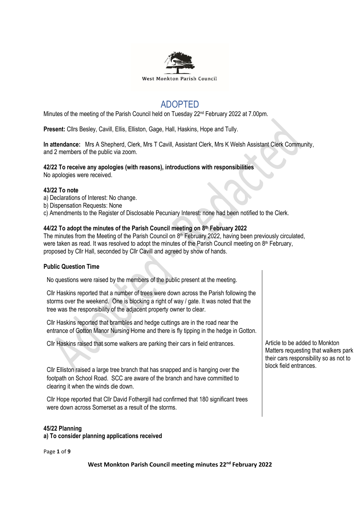

# ADOPTED

Minutes of the meeting of the Parish Council held on Tuesday 22<sup>nd</sup> February 2022 at 7.00pm.

**Present:** Cllrs Besley, Cavill, Ellis, Elliston, Gage, Hall, Haskins, Hope and Tully.

**In attendance:** Mrs A Shepherd, Clerk, Mrs T Cavill, Assistant Clerk, Mrs K Welsh Assistant Clerk Community, and 2 members of the public via zoom.

## **42/22 To receive any apologies (with reasons), introductions with responsibilities**

No apologies were received.

#### **43/22 To note**

- a) Declarations of Interest: No change.
- b) Dispensation Requests: None
- c) Amendments to the Register of Disclosable Pecuniary Interest: none had been notified to the Clerk.

## **44/22 To adopt the minutes of the Parish Council meeting on 8 th February 2022**

The minutes from the Meeting of the Parish Council on 8<sup>th</sup> February 2022, having been previously circulated, were taken as read. It was resolved to adopt the minutes of the Parish Council meeting on 8<sup>th</sup> February, proposed by Cllr Hall, seconded by Cllr Cavill and agreed by show of hands.

# **Public Question Time**

No questions were raised by the members of the public present at the meeting.

Cllr Haskins reported that a number of trees were down across the Parish following the storms over the weekend. One is blocking a right of way / gate. It was noted that the tree was the responsibility of the adjacent property owner to clear.

Cllr Haskins reported that brambles and hedge cuttings are in the road near the entrance of Gotton Manor Nursing Home and there is fly tipping in the hedge in Gotton.

Cllr Haskins raised that some walkers are parking their cars in field entrances.

Cllr Elliston raised a large tree branch that has snapped and is hanging over the footpath on School Road. SCC are aware of the branch and have committed to clearing it when the winds die down.

Cllr Hope reported that Cllr David Fothergill had confirmed that 180 significant trees were down across Somerset as a result of the storms.

### **45/22 Planning**

**a) To consider planning applications received**

Page **1** of **9**

**West Monkton Parish Council meeting minutes 22nd February 2022**

Article to be added to Monkton Matters requesting that walkers park their cars responsibility so as not to block field entrances.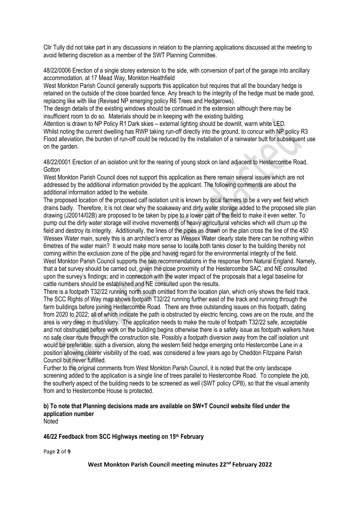Cllr Tully did not take part in any discussions in relation to the planning applications discussed at the meeting to avoid fettering discretion as a member of the SWT Planning Committee.

48/22/0006 Erection of a single storey extension to the side, with conversion of part of the garage into ancillary accommodation, at 17 Mead Way, Monkton Heathfield

West Monkton Parish Council generally supports this application but requires that all the boundary hedge is retained on the outside of the close boarded fence. Any breach to the integrity of the hedge must be made good, replacing like with like (Revised NP emerging policy R6 Trees and Hedgerows).

The design details of the existing windows should be continued in the extension although there may be insufficient room to do so. Materials should be in keeping with the existing building.

Attention is drawn to NP Policy R1 Dark skies – external lighting should be downlit, warm white LED. Whilst noting the current dwelling has RWP taking run-off directly into the ground, to concur with NP policy R3 Flood alleviation, the burden of run-off could be reduced by the installation of a rainwater butt for subsequent use on the garden.

48/22/0001 Erection of an isolation unit for the rearing of young stock on land adjacent to Hestercombe Road, **Gotton** 

West Monkton Parish Council does not support this application as there remain several issues which are not addressed by the additional information provided by the applicant. The following comments are about the additional information added to the website.

The proposed location of the proposed calf isolation unit is known by local farmers to be a very wet field which drains badly. Therefore, it is not clear why the soakaway and dirty water storage added to the proposed site plan drawing (J20014/02B) are proposed to be taken by pipe to a lower part of the field to make it even wetter. To pump out the dirty water storage will involve movements of heavy agricultural vehicles which will churn up the field and destroy its integrity. Additionally, the lines of the pipes as drawn on the plan cross the line of the 450 Wessex Water main, surely this is an architect's error as Wessex Water clearly state there can be nothing within 6metres of the water main? It would make more sense to locate both tanks closer to the building thereby not coming within the exclusion zone of the pipe and having regard for the environmental integrity of the field. West Monkton Parish Council supports the two recommendations in the response from Natural England. Namely, that a bat survey should be carried out, given the close proximity of the Hestercombe SAC, and NE consulted upon the survey's findings; and in connection with the water impact of the proposals that a legal baseline for cattle numbers should be established and NE consulted upon the results.

There is a footpath T32/22 running north south omitted from the location plan, which only shows the field track. The SCC Rights of Way map shows footpath T32/22 running further east of the track and running through the farm buildings before joining Hestercombe Road. There are three outstanding issues on this footpath, dating from 2020 to 2022; all of which indicate the path is obstructed by electric fencing, cows are on the route, and the area is very deep in mud/slurry. The application needs to make the route of footpath T32/22 safe, acceptable and not obstructed before work on the building begins otherwise there is a safety issue as footpath walkers have no safe clear route through the construction site. Possibly a footpath diversion away from the calf isolation unit would be preferable; such a diversion, along the western field hedge emerging onto Hestercombe Lane in a position allowing clearer visibility of the road, was considered a few years ago by Cheddon Fitzpaine Parish Council but never fulfilled.

Further to the original comments from West Monkton Parish Council, it is noted that the only landscape screening added to the application is a single line of trees parallel to Hestercombe Road. To complete the job, the southerly aspect of the building needs to be screened as well (SWT policy CP8), so that the visual amenity from and to Hestercombe House is protected.

# **b) To note that Planning decisions made are available on SW+T Council website filed under the application number**

Noted

# **46/22 Feedback from SCC Highways meeting on 15th February**

Page **2** of **9**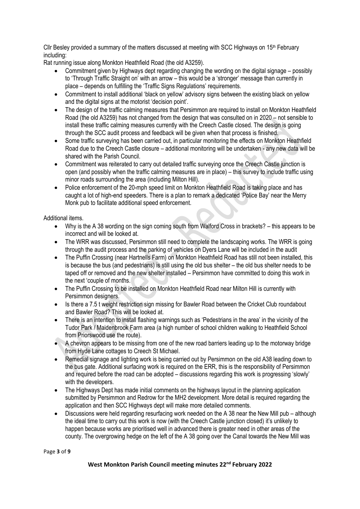Cllr Besley provided a summary of the matters discussed at meeting with SCC Highways on  $15<sup>th</sup>$  February including:

Rat running issue along Monkton Heathfield Road (the old A3259).

- Commitment given by Highways dept regarding changing the wording on the digital signage possibly to 'Through Traffic Straight on' with an arrow – this would be a 'stronger' message than currently in place – depends on fulfilling the 'Traffic Signs Regulations' requirements.
- Commitment to install additional 'black on yellow' advisory signs between the existing black on yellow and the digital signs at the motorist 'decision point'.
- The design of the traffic calming measures that Persimmon are required to install on Monkton Heathfield Road (the old A3259) has not changed from the design that was consulted on in 2020 – not sensible to install these traffic calming measures currently with the Creech Castle closed. The design is going through the SCC audit process and feedback will be given when that process is finished.
- Some traffic surveying has been carried out, in particular monitoring the effects on Monkton Heathfield Road due to the Creech Castle closure – additional monitoring will be undertaken - any new data will be shared with the Parish Council.
- Commitment was reiterated to carry out detailed traffic surveying once the Creech Castle junction is open (and possibly when the traffic calming measures are in place) – this survey to include traffic using minor roads surrounding the area (including Milton Hill).
- Police enforcement of the 20-mph speed limit on Monkton Heathfield Road is taking place and has caught a lot of high-end speeders. There is a plan to remark a dedicated 'Police Bay' near the Merry Monk pub to facilitate additional speed enforcement.

Additional items.

- Why is the A 38 wording on the sign coming south from Walford Cross in brackets? this appears to be incorrect and will be looked at.
- The WRR was discussed, Persimmon still need to complete the landscaping works. The WRR is going through the audit process and the parking of vehicles on Dyers Lane will be included in the audit
- The Puffin Crossing (near Hartnells Farm) on Monkton Heathfield Road has still not been installed, this is because the bus (and pedestrians) is still using the old bus shelter – the old bus shelter needs to be taped off or removed and the new shelter installed – Persimmon have committed to doing this work in the next 'couple of months.
- The Puffin Crossing to be installed on Monkton Heathfield Road near Milton Hill is currently with Persimmon designers.
- Is there a 7.5 t weight restriction sign missing for Bawler Road between the Cricket Club roundabout and Bawler Road? This will be looked at.
- There is an intention to install flashing warnings such as 'Pedestrians in the area' in the vicinity of the Tudor Park / Maidenbrook Farm area (a high number of school children walking to Heathfield School from Priorswood use the route).
- A chevron appears to be missing from one of the new road barriers leading up to the motorway bridge from Hyde Lane cottages to Creech St Michael.
- Remedial signage and lighting work is being carried out by Persimmon on the old A38 leading down to the bus gate. Additional surfacing work is required on the ERR, this is the responsibility of Persimmon and required before the road can be adopted – discussions regarding this work is progressing 'slowly' with the developers.
- The Highways Dept has made initial comments on the highways layout in the planning application submitted by Persimmon and Redrow for the MH2 development. More detail is required regarding the application and then SCC Highways dept will make more detailed comments.
- Discussions were held regarding resurfacing work needed on the A 38 near the New Mill pub although the ideal time to carry out this work is now (with the Creech Castle junction closed) it's unlikely to happen because works are prioritised well in advanced there is greater need in other areas of the county. The overgrowing hedge on the left of the A 38 going over the Canal towards the New Mill was

Page **3** of **9**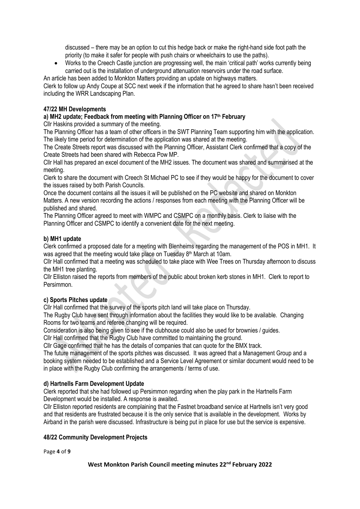discussed – there may be an option to cut this hedge back or make the right-hand side foot path the priority (to make it safer for people with push chairs or wheelchairs to use the paths).

• Works to the Creech Castle junction are progressing well, the main 'critical path' works currently being carried out is the installation of underground attenuation reservoirs under the road surface.

An article has been added to Monkton Matters providing an update on highways matters.

Clerk to follow up Andy Coupe at SCC next week if the information that he agreed to share hasn't been received including the WRR Landscaping Plan.

## **47/22 MH Developments**

# **a) MH2 update; Feedback from meeting with Planning Officer on 17th February**

Cllr Haskins provided a summary of the meeting.

The Planning Officer has a team of other officers in the SWT Planning Team supporting him with the application. The likely time period for determination of the application was shared at the meeting.

The Create Streets report was discussed with the Planning Officer, Assistant Clerk confirmed that a copy of the Create Streets had been shared with Rebecca Pow MP.

Cllr Hall has prepared an excel document of the MH2 issues. The document was shared and summarised at the meeting.

Clerk to share the document with Creech St Michael PC to see if they would be happy for the document to cover the issues raised by both Parish Councils.

Once the document contains all the issues it will be published on the PC website and shared on Monkton Matters. A new version recording the actions / responses from each meeting with the Planning Officer will be published and shared.

The Planning Officer agreed to meet with WMPC and CSMPC on a monthly basis. Clerk to liaise with the Planning Officer and CSMPC to identify a convenient date for the next meeting.

## **b) MH1 update**

Clerk confirmed a proposed date for a meeting with Blenheims regarding the management of the POS in MH1. It was agreed that the meeting would take place on Tuesday 8<sup>th</sup> March at 10am.

Cllr Hall confirmed that a meeting was scheduled to take place with Wee Trees on Thursday afternoon to discuss the MH1 tree planting.

Cllr Elliston raised the reports from members of the public about broken kerb stones in MH1. Clerk to report to Persimmon.

#### **c) Sports Pitches update**

Cllr Hall confirmed that the survey of the sports pitch land will take place on Thursday.

The Rugby Club have sent through information about the facilities they would like to be available. Changing Rooms for two teams and referee changing will be required.

Consideration is also being given to see if the clubhouse could also be used for brownies / guides.

Cllr Hall confirmed that the Rugby Club have committed to maintaining the ground.

Cllr Gage confirmed that he has the details of companies that can quote for the BMX track.

The future management of the sports pitches was discussed. It was agreed that a Management Group and a booking system needed to be established and a Service Level Agreement or similar document would need to be in place with the Rugby Club confirming the arrangements / terms of use.

# **d) Hartnells Farm Development Update**

Clerk reported that she had followed up Persimmon regarding when the play park in the Hartnells Farm Development would be installed. A response is awaited.

Cllr Elliston reported residents are complaining that the Fastnet broadband service at Hartnells isn't very good and that residents are frustrated because it is the only service that is available in the development. Works by Airband in the parish were discussed. Infrastructure is being put in place for use but the service is expensive.

#### **48/22 Community Development Projects**

Page **4** of **9**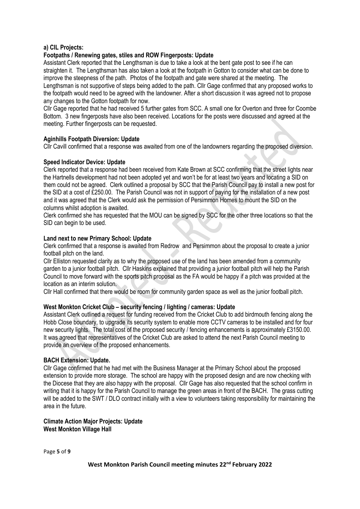### **a) CIL Projects:**

# **Footpaths / Renewing gates, stiles and ROW Fingerposts: Update**

Assistant Clerk reported that the Lengthsman is due to take a look at the bent gate post to see if he can straighten it. The Lengthsman has also taken a look at the footpath in Gotton to consider what can be done to improve the steepness of the path. Photos of the footpath and gate were shared at the meeting. The Lengthsman is not supportive of steps being added to the path. Cllr Gage confirmed that any proposed works to the footpath would need to be agreed with the landowner. After a short discussion it was agreed not to propose any changes to the Gotton footpath for now.

Cllr Gage reported that he had received 5 further gates from SCC. A small one for Overton and three for Coombe Bottom. 3 new fingerposts have also been received. Locations for the posts were discussed and agreed at the meeting. Further fingerposts can be requested.

## **Aginhills Footpath Diversion: Update**

Cllr Cavill confirmed that a response was awaited from one of the landowners regarding the proposed diversion.

## **Speed Indicator Device: Update**

Clerk reported that a response had been received from Kate Brown at SCC confirming that the street lights near the Hartnells development had not been adopted yet and won't be for at least two years and locating a SID on them could not be agreed. Clerk outlined a proposal by SCC that the Parish Council pay to install a new post for the SID at a cost of £250.00. The Parish Council was not in support of paying for the installation of a new post and it was agreed that the Clerk would ask the permission of Persimmon Homes to mount the SID on the columns whilst adoption is awaited.

Clerk confirmed she has requested that the MOU can be signed by SCC for the other three locations so that the SID can begin to be used.

## **Land next to new Primary School: Update**

Clerk confirmed that a response is awaited from Redrow and Persimmon about the proposal to create a junior football pitch on the land.

Cllr Elliston requested clarity as to why the proposed use of the land has been amended from a community garden to a junior football pitch. Cllr Haskins explained that providing a junior football pitch will help the Parish Council to move forward with the sports pitch proposal as the FA would be happy if a pitch was provided at the location as an interim solution.

Cllr Hall confirmed that there would be room for community garden space as well as the junior football pitch.

#### **West Monkton Cricket Club – security fencing / lighting / cameras: Update**

Assistant Clerk outlined a request for funding received from the Cricket Club to add birdmouth fencing along the Hobb Close boundary, to upgrade its security system to enable more CCTV cameras to be installed and for four new security lights. The total cost of the proposed security / fencing enhancements is approximately £3150.00. It was agreed that representatives of the Cricket Club are asked to attend the next Parish Council meeting to provide an overview of the proposed enhancements.

# **BACH Extension: Update.**

Cllr Gage confirmed that he had met with the Business Manager at the Primary School about the proposed extension to provide more storage. The school are happy with the proposed design and are now checking with the Diocese that they are also happy with the proposal. Cllr Gage has also requested that the school confirm in writing that it is happy for the Parish Council to manage the green areas in front of the BACH. The grass cutting will be added to the SWT / DLO contract initially with a view to volunteers taking responsibility for maintaining the area in the future.

## **Climate Action Major Projects: Update West Monkton Village Hall**

Page **5** of **9**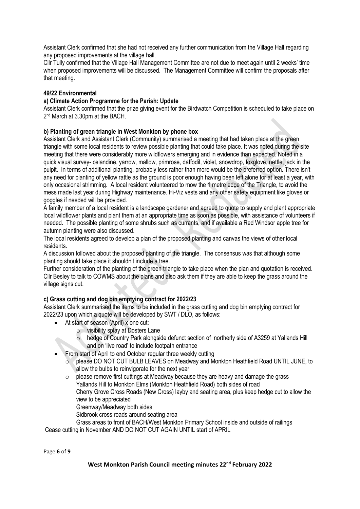Assistant Clerk confirmed that she had not received any further communication from the Village Hall regarding any proposed improvements at the village hall.

Cllr Tully confirmed that the Village Hall Management Committee are not due to meet again until 2 weeks' time when proposed improvements will be discussed. The Management Committee will confirm the proposals after that meeting.

## **49/22 Environmental**

### **a) Climate Action Programme for the Parish: Update**

Assistant Clerk confirmed that the prize giving event for the Birdwatch Competition is scheduled to take place on 2 nd March at 3.30pm at the BACH.

# **b) Planting of green triangle in West Monkton by phone box**

Assistant Clerk and Assistant Clerk (Community) summarised a meeting that had taken place at the green triangle with some local residents to review possible planting that could take place. It was noted during the site meeting that there were considerably more wildflowers emerging and in evidence than expected. Noted in a quick visual survey- celandine, yarrow, mallow, primrose, daffodil, violet, snowdrop, foxglove, nettle, jack in the pulpit. In terms of additional planting, probably less rather than more would be the preferred option. There isn't any need for planting of yellow rattle as the ground is poor enough having been left alone for at least a year, with only occasional strimming. A local resident volunteered to mow the 1 metre edge of the Triangle, to avoid the mess made last year during Highway maintenance. Hi-Viz vests and any other safety equipment like gloves or goggles if needed will be provided.

A family member of a local resident is a landscape gardener and agreed to quote to supply and plant appropriate local wildflower plants and plant them at an appropriate time as soon as possible, with assistance of volunteers if needed. The possible planting of some shrubs such as currants, and if available a Red Windsor apple tree for autumn planting were also discussed.

The local residents agreed to develop a plan of the proposed planting and canvas the views of other local residents.

A discussion followed about the proposed planting of the triangle. The consensus was that although some planting should take place it shouldn't include a tree.

Further consideration of the planting of the green triangle to take place when the plan and quotation is received. Cllr Besley to talk to COWMS about the plans and also ask them if they are able to keep the grass around the village signs cut.

# **c) Grass cutting and dog bin emptying contract for 2022/23**

Assistant Clerk summarised the items to be included in the grass cutting and dog bin emptying contract for 2022/23 upon which a quote will be developed by SWT / DLO, as follows:

- At start of season (April) x one cut:
	- o visibility splay at Dosters Lane
	- o hedge of Country Park alongside defunct section of northerly side of A3259 at Yallands Hill and on 'live road' to include footpath entrance
- From start of April to end October regular three weekly cutting
	- o please DO NOT CUT BULB LEAVES on Meadway and Monkton Heathfield Road UNTIL JUNE, to allow the bulbs to reinvigorate for the next year
	- o please remove first cuttings at Meadway because they are heavy and damage the grass Yallands Hill to Monkton Elms (Monkton Heathfield Road) both sides of road Cherry Grove Cross Roads (New Cross) layby and seating area, plus keep hedge cut to allow the view to be appreciated

Greenway/Meadway both sides

Sidbrook cross roads around seating area

Grass areas to front of BACH/West Monkton Primary School inside and outside of railings

Cease cutting in November AND DO NOT CUT AGAIN UNTIL start of APRIL

Page **6** of **9**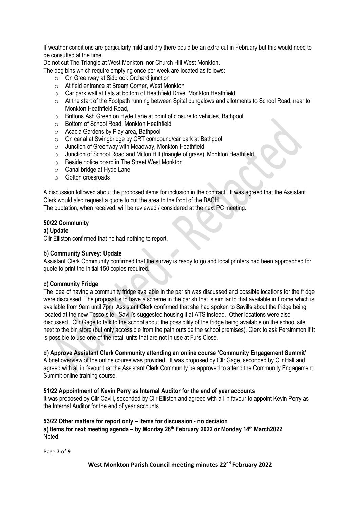If weather conditions are particularly mild and dry there could be an extra cut in February but this would need to be consulted at the time.

Do not cut The Triangle at West Monkton, nor Church Hill West Monkton.

The dog bins which require emptying once per week are located as follows:

- o On Greenway at Sidbrook Orchard junction
- o At field entrance at Bream Corner, West Monkton
- o Car park wall at flats at bottom of Heathfield Drive, Monkton Heathfield
- $\circ$  At the start of the Footpath running between Spital bungalows and allotments to School Road, near to Monkton Heathfield Road,
- o Brittons Ash Green on Hyde Lane at point of closure to vehicles, Bathpool
- o Bottom of School Road, Monkton Heathfield
- o Acacia Gardens by Play area, Bathpool
- o On canal at Swingbridge by CRT compound/car park at Bathpool
- o Junction of Greenway with Meadway, Monkton Heathfield
- o Junction of School Road and Milton Hill (triangle of grass), Monkton Heathfield
- o Beside notice board in The Street West Monkton
- o Canal bridge at Hyde Lane
- o Gotton crossroads

A discussion followed about the proposed items for inclusion in the contract. It was agreed that the Assistant Clerk would also request a quote to cut the area to the front of the BACH.

The quotation, when received, will be reviewed / considered at the next PC meeting.

#### **50/22 Community**

#### **a) Update**

Cllr Elliston confirmed that he had nothing to report.

## **b) Community Survey: Update**

Assistant Clerk Community confirmed that the survey is ready to go and local printers had been approached for quote to print the initial 150 copies required.

#### **c) Community Fridge**

The idea of having a community fridge available in the parish was discussed and possible locations for the fridge were discussed. The proposal is to have a scheme in the parish that is similar to that available in Frome which is available from 9am until 7pm. Assistant Clerk confirmed that she had spoken to Savills about the fridge being located at the new Tesco site. Savill's suggested housing it at ATS instead. Other locations were also discussed. Cllr Gage to talk to the school about the possibility of the fridge being available on the school site next to the bin store (but only accessible from the path outside the school premises). Clerk to ask Persimmon if it is possible to use one of the retail units that are not in use at Furs Close.

#### **d) Approve Assistant Clerk Community attending an online course 'Community Engagement Summit'**

A brief overview of the online course was provided. It was proposed by Cllr Gage, seconded by Cllr Hall and agreed with all in favour that the Assistant Clerk Community be approved to attend the Community Engagement Summit online training course.

#### **51/22 Appointment of Kevin Perry as Internal Auditor for the end of year accounts**

It was proposed by Cllr Cavill, seconded by Cllr Elliston and agreed with all in favour to appoint Kevin Perry as the Internal Auditor for the end of year accounts.

#### **53/22 Other matters for report only – items for discussion - no decision a) Items for next meeting agenda – by Monday 28th February 2022 or Monday 14th March2022** Noted

Page **7** of **9**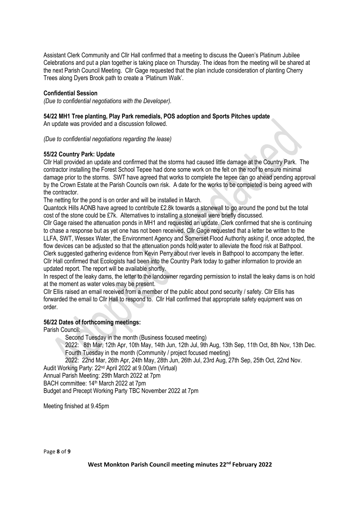Assistant Clerk Community and Cllr Hall confirmed that a meeting to discuss the Queen's Platinum Jubilee Celebrations and put a plan together is taking place on Thursday. The ideas from the meeting will be shared at the next Parish Council Meeting. Cllr Gage requested that the plan include consideration of planting Cherry Trees along Dyers Brook path to create a 'Platinum Walk'.

# **Confidential Session**

*(Due to confidential negotiations with the Developer).*

#### **54/22 MH1 Tree planting, Play Park remedials, POS adoption and Sports Pitches update** An update was provided and a discussion followed.

*(Due to confidential negotiations regarding the lease)*

## **55/22 Country Park: Update**

Cllr Hall provided an update and confirmed that the storms had caused little damage at the Country Park. The contractor installing the Forest School Tepee had done some work on the felt on the roof to ensure minimal damage prior to the storms. SWT have agreed that works to complete the tepee can go ahead pending approval by the Crown Estate at the Parish Councils own risk. A date for the works to be completed is being agreed with the contractor.

The netting for the pond is on order and will be installed in March.

Quantock Hills AONB have agreed to contribute £2.8k towards a stonewall to go around the pond but the total cost of the stone could be £7k. Alternatives to installing a stonewall were briefly discussed.

Cllr Gage raised the attenuation ponds in MH1 and requested an update. Clerk confirmed that she is continuing to chase a response but as yet one has not been received. Cllr Gage requested that a letter be written to the LLFA, SWT, Wessex Water, the Environment Agency and Somerset Flood Authority asking if, once adopted, the flow devices can be adjusted so that the attenuation ponds hold water to alleviate the flood risk at Bathpool. Clerk suggested gathering evidence from Kevin Perry about river levels in Bathpool to accompany the letter. Cllr Hall confirmed that Ecologists had been into the Country Park today to gather information to provide an updated report. The report will be available shortly.

In respect of the leaky dams, the letter to the landowner regarding permission to install the leaky dams is on hold at the moment as water voles may be present.

Cllr Ellis raised an email received from a member of the public about pond security / safety. Cllr Ellis has forwarded the email to Cllr Hall to respond to. Cllr Hall confirmed that appropriate safety equipment was on order.

# **56/22 Dates of forthcoming meetings:**

Parish Council:

Second Tuesday in the month (Business focused meeting)

2022: 8th Mar, 12th Apr, 10th May, 14th Jun, 12th Jul, 9th Aug, 13th Sep, 11th Oct, 8th Nov, 13th Dec. Fourth Tuesday in the month (Community / project focused meeting)

2022: 22nd Mar, 26th Apr, 24th May, 28th Jun, 26th Jul, 23rd Aug, 27th Sep, 25th Oct, 22nd Nov. Audit Working Party: 22nd April 2022 at 9.00am (Virtual)

Annual Parish Meeting: 29th March 2022 at 7pm

BACH committee: 14th March 2022 at 7pm

Budget and Precept Working Party TBC November 2022 at 7pm

Meeting finished at 9.45pm